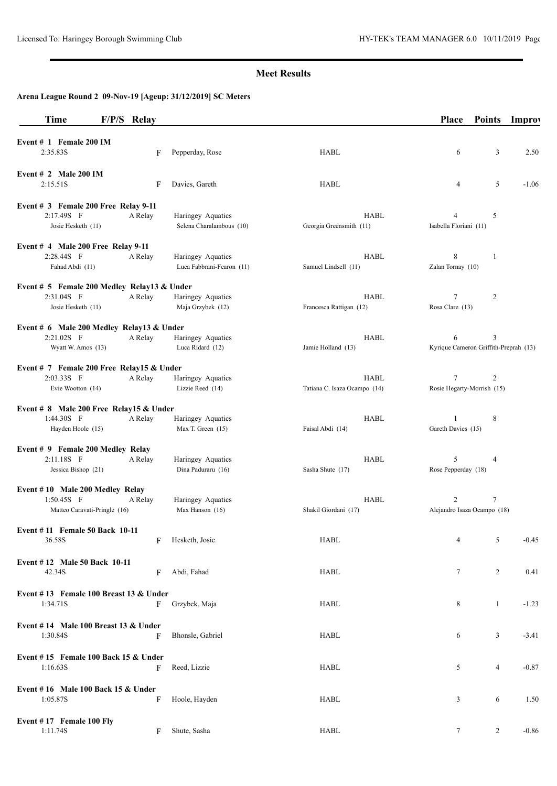## **Meet Results**

# **Arena League Round 2 09-Nov-19 [Ageup: 31/12/2019] SC Meters**

| Time                                                    | F/P/S Relay |                           |                              | <b>Place</b>                          | <b>Points</b>  | <b>Improv</b> |
|---------------------------------------------------------|-------------|---------------------------|------------------------------|---------------------------------------|----------------|---------------|
| Event # 1 Female 200 IM                                 |             |                           |                              |                                       |                |               |
| 2:35.83S                                                | F           | Pepperday, Rose           | HABL                         | 6                                     | 3              | 2.50          |
| Event # 2 Male 200 IM                                   |             |                           |                              |                                       |                |               |
| 2:15.51S                                                | F           | Davies, Gareth            | HABL                         | 4                                     | 5              | $-1.06$       |
| Event # 3 Female 200 Free Relay 9-11                    |             |                           |                              |                                       |                |               |
| 2:17.49S F                                              | A Relay     | Haringey Aquatics         | <b>HABL</b>                  | 4                                     | 5              |               |
| Josie Hesketh (11)                                      |             | Selena Charalambous (10)  | Georgia Greensmith (11)      | Isabella Floriani (11)                |                |               |
| Event $#$ 4 Male 200 Free Relay 9-11                    |             |                           |                              |                                       |                |               |
| 2:28.44S F                                              | A Relay     | Haringey Aquatics         | HABL                         | 8                                     | $\mathbf{1}$   |               |
| Fahad Abdi (11)                                         |             | Luca Fabbrani-Fearon (11) | Samuel Lindsell (11)         | Zalan Tornay (10)                     |                |               |
| Event # 5 Female 200 Medley Relay13 & Under             |             |                           |                              |                                       |                |               |
| 2:31.04S F                                              | A Relay     | Haringey Aquatics         | <b>HABL</b>                  | $\tau$                                | 2              |               |
| Josie Hesketh (11)                                      |             | Maja Grzybek (12)         | Francesca Rattigan (12)      | Rosa Clare (13)                       |                |               |
| Event # 6 Male 200 Medley Relay13 & Under               |             |                           |                              |                                       |                |               |
| 2:21.02S F                                              | A Relay     | Haringey Aquatics         | <b>HABL</b>                  | 6                                     | 3              |               |
| Wyatt W. Amos (13)                                      |             | Luca Ridard (12)          | Jamie Holland (13)           | Kyrique Cameron Griffith-Preprah (13) |                |               |
| Event # 7 Female 200 Free Relay15 & Under               |             |                           |                              |                                       |                |               |
| 2:03.33S F                                              | A Relay     | Haringey Aquatics         | <b>HABL</b>                  | 7                                     | 2              |               |
| Evie Wootton (14)                                       |             | Lizzie Reed (14)          | Tatiana C. Isaza Ocampo (14) | Rosie Hegarty-Morrish (15)            |                |               |
|                                                         |             |                           |                              |                                       |                |               |
| Event # 8 Male 200 Free Relay15 & Under<br>$1:44.30S$ F | A Relay     | Haringey Aquatics         | <b>HABL</b>                  | $\mathbf{1}$                          | 8              |               |
| Hayden Hoole (15)                                       |             | Max T. Green (15)         | Faisal Abdi (14)             | Gareth Davies (15)                    |                |               |
|                                                         |             |                           |                              |                                       |                |               |
| Event # 9 Female 200 Medley Relay                       |             |                           |                              |                                       |                |               |
| 2:11.18S F                                              | A Relay     | Haringey Aquatics         | <b>HABL</b>                  | 5                                     | 4              |               |
| Jessica Bishop (21)                                     |             | Dina Paduraru (16)        | Sasha Shute (17)             | Rose Pepperday (18)                   |                |               |
| Event #10 Male 200 Medley Relay                         |             |                           |                              |                                       |                |               |
| $1:50.45S$ F                                            | A Relay     | Haringey Aquatics         | <b>HABL</b>                  | 2                                     | $\tau$         |               |
| Matteo Caravati-Pringle (16)                            |             | Max Hanson (16)           | Shakil Giordani (17)         | Alejandro Isaza Ocampo (18)           |                |               |
| Event #11 Female 50 Back 10-11                          |             |                           |                              |                                       |                |               |
| 36.58S                                                  | F           | Hesketh, Josie            | HABL                         | 4                                     | 5              | $-0.45$       |
| Event #12 Male 50 Back 10-11                            |             |                           |                              |                                       |                |               |
| 42.34S                                                  | F           | Abdi, Fahad               | HABL                         | $\tau$                                | $\overline{c}$ | 0.41          |
|                                                         |             |                           |                              |                                       |                |               |
| Event #13 Female 100 Breast 13 $&$ Under<br>1:34.71S    | F           | Grzybek, Maja             | <b>HABL</b>                  | 8                                     | $\mathbf{1}$   | $-1.23$       |
|                                                         |             |                           |                              |                                       |                |               |
| Event #14 Male 100 Breast 13 & Under                    |             |                           |                              |                                       |                |               |
| 1:30.84S                                                | F           | Bhonsle, Gabriel          | HABL                         | 6                                     | 3              | $-3.41$       |
| Event #15 Female 100 Back 15 & Under                    |             |                           |                              |                                       |                |               |
| 1:16.63S                                                | F           | Reed, Lizzie              | HABL                         | 5                                     | 4              | $-0.87$       |
|                                                         |             |                           |                              |                                       |                |               |
| Event $# 16$ Male 100 Back 15 & Under                   |             |                           |                              |                                       |                |               |
| 1:05.87S                                                | F           | Hoole, Hayden             | <b>HABL</b>                  | 3                                     | 6              | 1.50          |
| Event #17 Female 100 Fly                                |             |                           |                              |                                       |                |               |
| 1:11.74S                                                | F           | Shute, Sasha              | HABL                         | $\tau$                                | $\overline{2}$ | $-0.86$       |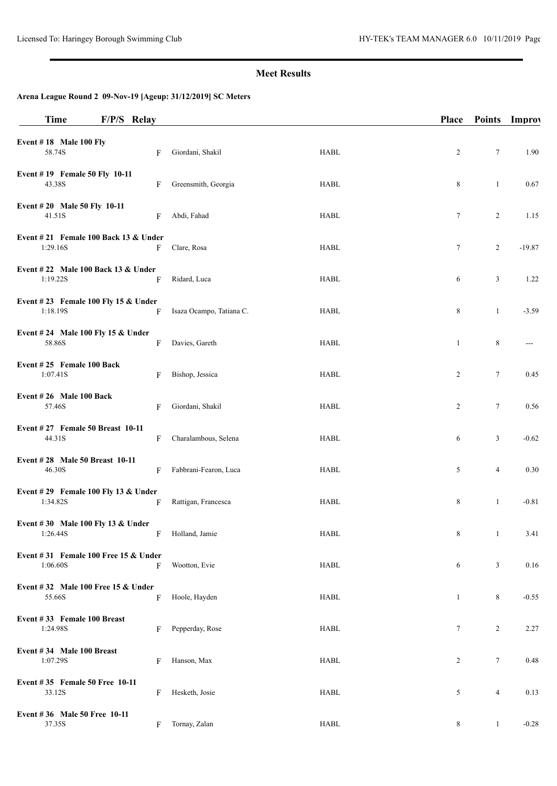## **Meet Results**

# **Arena League Round 2 09-Nov-19 [Ageup: 31/12/2019] SC Meters**

| <b>Time</b>                                          | F/P/S Relay |   |                          |             | <b>Place</b> | Points Improv  |          |
|------------------------------------------------------|-------------|---|--------------------------|-------------|--------------|----------------|----------|
| Event $# 18$ Male 100 Fly<br>58.74S                  |             | F | Giordani, Shakil         | <b>HABL</b> | 2            | 7              | 1.90     |
| Event #19 Female 50 Fly 10-11<br>43.38S              |             | F | Greensmith, Georgia      | HABL        | 8            | $\mathbf{1}$   | 0.67     |
| Event #20 Male 50 Fly 10-11<br>41.51S                |             | F | Abdi, Fahad              | <b>HABL</b> | $\tau$       | $\overline{2}$ | 1.15     |
| Event $\# 21$ Female 100 Back 13 & Under<br>1:29.16S |             | F | Clare, Rosa              | <b>HABL</b> | 7            | 2              | $-19.87$ |
| Event #22 Male 100 Back 13 & Under<br>1:19.22S       |             | F | Ridard, Luca             | HABL        | 6            | 3              | 1.22     |
| Event #23 Female 100 Fly 15 & Under<br>1:18.19S      |             | F | Isaza Ocampo, Tatiana C. | HABL        | 8            | $\mathbf{1}$   | $-3.59$  |
| Event #24 Male 100 Fly 15 & Under<br>58.86S          |             | F | Davies, Gareth           | <b>HABL</b> | 1            | 8              | $---$    |
| Event #25 Female 100 Back<br>1:07.41S                |             | F | Bishop, Jessica          | HABL        | 2            | $\tau$         | 0.45     |
| Event #26 Male 100 Back<br>57.46S                    |             | F | Giordani, Shakil         | <b>HABL</b> | 2            | $\tau$         | 0.56     |
| Event #27 Female 50 Breast 10-11<br>44.31S           |             | F | Charalambous, Selena     | <b>HABL</b> | 6            | 3              | $-0.62$  |
| Event #28 Male 50 Breast 10-11<br>46.30S             |             | F | Fabbrani-Fearon, Luca    | HABL        | 5            | $\overline{4}$ | 0.30     |
| Event #29 Female 100 Fly 13 & Under<br>1:34.82S      |             | F | Rattigan, Francesca      | <b>HABL</b> | 8            | $\mathbf{1}$   | $-0.81$  |
| Event #30 Male 100 Fly 13 & Under<br>1:26.44S        |             | F | Holland, Jamie           | HABL        | 8            | $\mathbf{1}$   | 3.41     |
| Event $\#31$ Female 100 Free 15 & Under<br>1:06.60S  |             | F | Wootton, Evie            | <b>HABL</b> | 6            | $\mathfrak{Z}$ | 0.16     |
| Event #32 Male 100 Free 15 $&$ Under<br>55.66S       |             | F | Hoole, Hayden            | <b>HABL</b> | $\mathbf{1}$ | 8              | $-0.55$  |
| Event #33 Female 100 Breast<br>1:24.98S              |             | F | Pepperday, Rose          | <b>HABL</b> | $\tau$       | 2              | 2.27     |
| Event #34 Male 100 Breast<br>1:07.29S                |             | F | Hanson, Max              | <b>HABL</b> | 2            | 7              | 0.48     |
| Event #35 Female 50 Free 10-11<br>33.12S             |             | F | Hesketh, Josie           | HABL        | 5            | $\overline{4}$ | 0.13     |
| Event #36 Male 50 Free 10-11<br>37.35S               |             | F | Tornay, Zalan            | <b>HABL</b> | 8            | $\mathbf{1}$   | $-0.28$  |